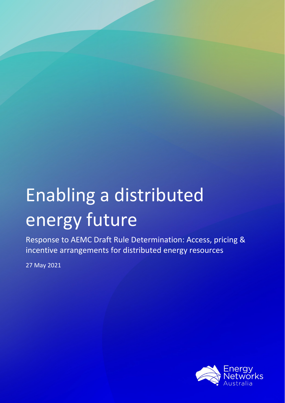# Enabling a distributed energy future

Response to AEMC Draft Rule Determination: Access, pricing & incentive arrangements for distributed energy resources

27 May 2021

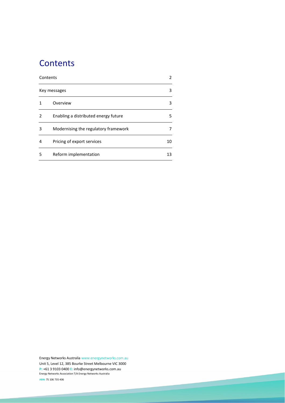# <span id="page-1-0"></span>**Contents**

| Contents | 2                                    |    |
|----------|--------------------------------------|----|
|          | Key messages                         | 3  |
|          | Overview                             | 3  |
| 2        | Enabling a distributed energy future | 5  |
| 3        | Modernising the regulatory framework | 7  |
| 4        | Pricing of export services           | 10 |
| 5        | Reform implementation                | 13 |

Energy Networks Australi[a www.energynetworks.com.au](http://www.energynetworks.com.au/) Unit 5, Level 12, 385 Bourke Street Melbourne VIC 3000 **P:** +61 3 9103 0400 **E:** [info@energynetworks.com.au](mailto:info@energynetworks.com.au) Energy Networks Association T/A Energy Networks Australia

2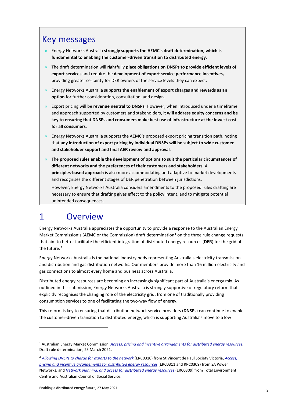# <span id="page-2-0"></span>Key messages

- » Energy Networks Australia **strongly supports the AEMC's draft determination, which is fundamental to enabling the customer-driven transition to distributed energy**.
- » The draft determination will rightfully **place obligations on DNSPs to provide efficient levels of export services** and require the **development of export service performance incentives,**  providing greater certainty for DER owners of the service levels they can expect.
- » Energy Networks Australia **supports the enablement of export charges and rewards as an option** for further consideration, consultation, and design.
- » Export pricing will be **revenue neutral to DNSPs**. However, when introduced under a timeframe and approach supported by customers and stakeholders, it **will address equity concerns and be key to ensuring that DNSPs and consumers make best use of infrastructure at the lowest cost for all consumers**.
- » Energy Networks Australia supports the AEMC's proposed export pricing transition path, noting that **any introduction of export pricing by individual DNSPs will be subject to wide customer and stakeholder support and final AER review and approval**.
- » The **proposed rules enable the development of options to suit the particular circumstances of different networks and the preferences of their customers and stakeholders**. A **principles-based approach** is also more accommodating and adaptive to market developments and recognises the different stages of DER penetration between jurisdictions.

However, Energy Networks Australia considers amendments to the proposed rules drafting are necessary to ensure that drafting gives effect to the policy intent, and to mitigate potential unintended consequences.

# <span id="page-2-1"></span>1 Overview

Energy Networks Australia appreciates the opportunity to provide a response to the Australian Energy Market Commission's (AEMC or the Commission) draft determination<sup>[1](#page-2-2)</sup> on the three rule change requests that aim to better facilitate the efficient integration of distributed energy resources (**DER**) for the grid of the future.<sup>[2](#page-2-3)</sup>

Energy Networks Australia is the national industry body representing Australia's electricity transmission and distribution and gas distribution networks. Our members provide more than 16 million electricity and gas connections to almost every home and business across Australia.

Distributed energy resources are becoming an increasingly significant part of Australia's energy mix. As outlined in this submission, Energy Networks Australia is strongly supportive of regulatory reform that explicitly recognises the changing role of the electricity grid; from one of traditionally providing consumption services to one of facilitating the two-way flow of energy.

This reform is key to ensuring that distribution network service providers (**DNSPs**) can continue to enable the customer-driven transition to distributed energy, which is supporting Australia's move to a low

<span id="page-2-2"></span><sup>1</sup> Australian Energy Market Commission, *[Access, pricing and incentive arrangements for distributed energy resources](https://www.aemc.gov.au/sites/default/files/2021-03/Draft%20Determination%20-%20ERC0311%20and%20RRC0039%20-%20Access%20Pricing%20and%20Incentive%20arrangements%20for%20DER.pdf)*, Draft rule determination, 25 March 2021.

<span id="page-2-3"></span><sup>2</sup> *[Allowing DNSPs to charge for exports to the network](https://www.aemc.gov.au/sites/default/files/2020-07/ERC0310%20Rule%20change%20request%20pending.PDF)* (ERC0310) from St Vincent de Paul Society Victoria, *[Access,](https://www.aemc.gov.au/sites/default/files/2020-07/ERC0311%20RRC0039%20Rule%20change%20request%20pending.pdf)  [pricing and incentive arrangements for distributed energy resources](https://www.aemc.gov.au/sites/default/files/2020-07/ERC0311%20RRC0039%20Rule%20change%20request%20pending.pdf)* (ERC0311 and RRC0309) from SA Power Networks, and *[Network planning, and access for distributed energy resources](https://www.aemc.gov.au/sites/default/files/2020-07/ERC0309%20Rule%20change%20request%20pending.PDF)* (ERC0309) from Total Environment Centre and Australian Council of Social Service.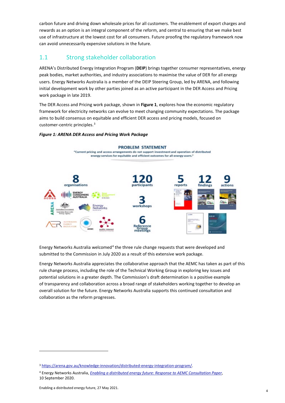carbon future and driving down wholesale prices for all customers. The enablement of export charges and rewards as an option is an integral component of the reform, and central to ensuring that we make best use of infrastructure at the lowest cost for all consumers. Future proofing the regulatory framework now can avoid unnecessarily expensive solutions in the future.

# 1.1 Strong stakeholder collaboration

ARENA's Distributed Energy Integration Program (**DEIP**) brings together consumer representatives, energy peak bodies, market authorities, and industry associations to maximise the value of DER for all energy users. Energy Networks Australia is a member of the DEIP Steering Group, led by ARENA, and following initial development work by other parties joined as an active participant in the DER Access and Pricing work package in late 2019.

The DER Access and Pricing work package, shown in **Figure 1**, explores how the economic regulatory framework for electricity networks can evolve to meet changing community expectations. The package aims to build consensus on equitable and efficient DER access and pricing models, focused on customer-centric principles.<sup>[3](#page-3-0)</sup>

#### *Figure 1: ARENA DER Access and Pricing Work Package*



Energy Networks Australia welcomed<sup>[4](#page-3-1)</sup> the three rule change requests that were developed and submitted to the Commission in July 2020 as a result of this extensive work package.

Energy Networks Australia appreciates the collaborative approach that the AEMC has taken as part of this rule change process, including the role of the Technical Working Group in exploring key issues and potential solutions in a greater depth. The Commission's draft determination is a positive example of transparency and collaboration across a broad range of stakeholders working together to develop an overall solution for the future. Energy Networks Australia supports this continued consultation and collaboration as the reform progresses.

<span id="page-3-0"></span><sup>3</sup> [https://arena.gov.au/knowledge-innovation/distributed-energy-integration-program/.](https://arena.gov.au/knowledge-innovation/distributed-energy-integration-program/)

<span id="page-3-1"></span><sup>4</sup> Energy Networks Australia, *[Enabling a distributed energy future: Response to AEMC Consultation Paper](https://www.aemc.gov.au/sites/default/files/documents/rule_change_submission_-_erc0311_-_energy_networks_australia_-_20200910_1.pdf)*, 10 September 2020.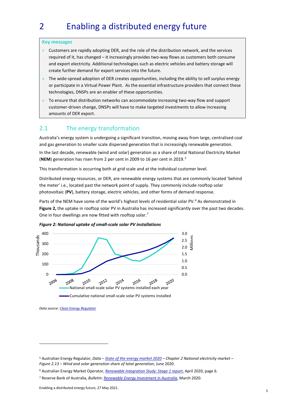# <span id="page-4-0"></span>2 Enabling a distributed energy future

#### **Key messages**

- $\lambda$  Customers are rapidly adopting DER, and the role of the distribution network, and the services required of it, has changed – it increasingly provides two-way flows as customers both consume and export electricity. Additional technologies such as electric vehicles and battery storage will create further demand for export services into the future.
- » The wide-spread adoption of DER creates opportunities, including the ability to sell surplus energy or participate in a Virtual Power Plant. As the essential infrastructure providers that connect these technologies, DNSPs are an enabler of these opportunities.
- » To ensure that distribution networks can accommodate increasing two-way flow and support customer-driven change, DNSPs will have to make targeted investments to allow increasing amounts of DER export.

#### 2.1 The energy transformation

Australia's energy system is undergoing a significant transition, moving away from large, centralised coal and gas generation to smaller scale dispersed generation that is increasingly renewable generation.

In the last decade, renewable (wind and solar) generation as a share of total National Electricity Market (**NEM**) generation has risen from 2 per cent in 2009 to 16 per cent in 2019.[5](#page-4-1)

This transformation is occurring both at grid scale and at the individual customer level.

Distributed energy resources, or DER, are renewable energy systems that are commonly located 'behind the meter' i.e., located past the network point of supply. They commonly include rooftop solar photovoltaic (**PV**), battery storage, electric vehicles, and other forms of demand response.

Parts of the NEM have some of the world's highest levels of residential solar PV.<sup>[6](#page-4-2)</sup> As demonstrated in **Figure 2,** the uptake in rooftop solar PV in Australia has increased significantly over the past two decades. One in four dwellings are now fitted with rooftop solar.<sup>[7](#page-4-3)</sup>





*Data source[: Clean Energy Regulator](http://www.cleanenergyregulator.gov.au/RET/Forms-and-resources/Postcode-data-for-small-scale-installations#Smallscale-installations-by-installation-year)*

<span id="page-4-1"></span><sup>5</sup> Australian Energy Regulator, *Data – [State of the energy market 2020](https://www.aer.gov.au/system/files/State%20of%20the%20energy%20market%202020%20-%20Full%20report%20A4.pdf) – Chapter 2 National electricity market – Figure 2.13 – Wind and solar generation share of total generation*, June 2020.

<span id="page-4-2"></span><sup>6</sup> Australian Energy Market Operator, *[Renewable Integration Study: Stage 1 report](https://aemo.com.au/-/media/files/major-publications/ris/2020/renewable-integration-study-stage-1.pdf?la=en&hash=BEF358122FD1FAD93C9511F1DD8A15F2)*, April 2020, page 6.

<span id="page-4-3"></span><sup>7</sup> Reserve Bank of Australia, *Bulletin[: Renewable Energy Investment in Australia](https://www.rba.gov.au/publications/bulletin/2020/mar/renewable-energy-investment-in-australia.html)*, March 2020.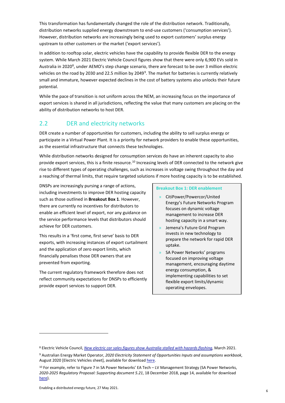This transformation has fundamentally changed the role of the distribution network. Traditionally, distribution networks supplied energy downstream to end-use customers ('consumption services'). However, distribution networks are increasingly being used to export customers' surplus energy upstream to other customers or the market ('export services').

In addition to rooftop solar, electric vehicles have the capability to provide flexible DER to the energy system. While March 2021 Electric Vehicle Council figures show that there were only 6,900 EVs sold in Australia in 2020<sup>[8](#page-5-0)</sup>, under AEMO's step change scenario, there are forecast to be over 3 million electric vehicles on the road by 2030 and 22.5 million by 204[9](#page-5-1)<sup>9</sup>. The market for batteries is currently relatively small and immature, however expected declines in the cost of battery systems also unlocks their future potential.

While the pace of transition is not uniform across the NEM, an increasing focus on the importance of export services is shared in all jurisdictions, reflecting the value that many customers are placing on the ability of distribution networks to host DER.

### 2.2 DER and electricity networks

DER create a number of opportunities for customers, including the ability to sell surplus energy or participate in a Virtual Power Plant. It is a priority for network providers to enable these opportunities, as the essential infrastructure that connects these technologies.

While distribution networks designed for consumption services do have an inherent capacity to also provide export services, this is a finite resource.<sup>[10](#page-5-2)</sup> Increasing levels of DER connected to the network give rise to different types of operating challenges, such as increases in voltage swing throughout the day and a reaching of thermal limits, that require targeted solutions if more hosting capacity is to be established.

DNSPs are increasingly pursing a range of actions, including investments to improve DER hosting capacity such as those outlined in **Breakout Box 1**. However, there are currently no incentives for distributors to enable an efficient level of export, nor any guidance on the service performance levels that distributors should achieve for DER customers.

This results in a 'first come, first serve' basis to DER exports, with increasing instances of export curtailment and the application of zero export limits, which financially penalises those DER owners that are prevented from exporting.

The current regulatory framework therefore does not reflect community expectations for DNSPs to efficiently provide export services to support DER.

#### **Breakout Box 1: DER enablement**

- » CitiPower/Powercor/United Energy's Future Networks Program focuses on dynamic voltage management to increase DER hosting capacity in a smart way.
- » Jemena's Future Grid Program invests in new technology to prepare the network for rapid DER uptake.
- » SA Power Networks' programs focused on improving voltage management, encouraging daytime energy consumption, & implementing capabilities to set flexible export limits/dynamic operating envelopes.

<span id="page-5-0"></span><sup>8</sup> Electric Vehicle Council, *[New electric car sales figures show Australia stalled with hazards flashing](https://electricvehiclecouncil.com.au/new-electric-car-sales-figures-show-australia-stalled-with-hazards-flashing/#:%7E:text=In%202020%2C%20there%20were%206%2C900,the%206%2C718%20sold%20in%202019.&text=And%20in%20Norway%2C%20it%20rose,Australian%20anomaly%20needed%20to%20end.)*, March 2021.

<span id="page-5-1"></span><sup>9</sup> Australian Energy Market Operator, *2020 Electricity Statement of Opportunities Inputs and assumptions workbook*, August 2020 [Electric Vehicles sheet], available for downloa[d here.](https://aemo.com.au/en/energy-systems/major-publications/integrated-system-plan-isp/2022-integrated-system-plan-isp/current-inputs-assumptions-and-scenarios)

<span id="page-5-2"></span><sup>10</sup> For example, refer to Figure 7 in SA Power Networks' EA Tech – LV Management Strategy (SA Power Networks, *2020-2025 Regulatory Proposal: Supporting document 5.21*, 18 December 2018, page 14, available for download [here\)](https://www.aer.gov.au/networks-pipelines/determinations-access-arrangements/sa-power-networks-determination-2020-25/proposal).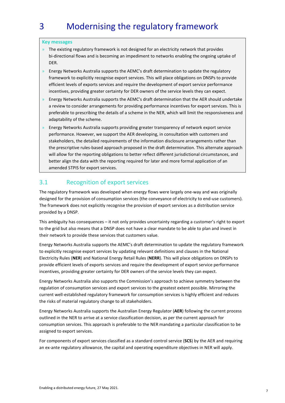# <span id="page-6-0"></span>3 Modernising the regulatory framework

#### **Key messages**

- $\theta$  The existing regulatory framework is not designed for an electricity network that provides bi-directional flows and is becoming an impediment to networks enabling the ongoing uptake of DER.
- » Energy Networks Australia supports the AEMC's draft determination to update the regulatory framework to explicitly recognise export services. This will place obligations on DNSPs to provide efficient levels of exports services and require the development of export service performance incentives, providing greater certainty for DER owners of the service levels they can expect.
- » Energy Networks Australia supports the AEMC's draft determination that the AER should undertake a review to consider arrangements for providing performance incentives for export services. This is preferable to prescribing the details of a scheme in the NER, which will limit the responsiveness and adaptability of the scheme.
- » Energy Networks Australia supports providing greater transparency of network export service performance. However, we support the AER developing, in consultation with customers and stakeholders, the detailed requirements of the information disclosure arrangements rather than the prescriptive rules-based approach proposed in the draft determination. This alternate approach will allow for the reporting obligations to better reflect different jurisdictional circumstances, and better align the data with the reporting required for later and more formal application of an amended STPIS for export services.

### 3.1 Recognition of export services

The regulatory framework was developed when energy flows were largely one-way and was originally designed for the provision of consumption services (the conveyance of electricity to end-use customers). The framework does not explicitly recognise the provision of export services as a distribution service provided by a DNSP.

This ambiguity has consequences – it not only provides uncertainty regarding a customer's right to export to the grid but also means that a DNSP does not have a clear mandate to be able to plan and invest in their network to provide these services that customers value.

Energy Networks Australia supports the AEMC's draft determination to update the regulatory framework to explicitly recognise export services by updating relevant definitions and clauses in the National Electricity Rules (**NER**) and National Energy Retail Rules (**NERR**). This will place obligations on DNSPs to provide efficient levels of exports services and require the development of export service performance incentives, providing greater certainty for DER owners of the service levels they can expect.

Energy Networks Australia also supports the Commission's approach to achieve symmetry between the regulation of consumption services and export services to the greatest extent possible. Mirroring the current well-established regulatory framework for consumption services is highly efficient and reduces the risks of material regulatory change to all stakeholders.

Energy Networks Australia supports the Australian Energy Regulator (**AER**) following the current process outlined in the NER to arrive at a service classification decision, as per the current approach for consumption services. This approach is preferable to the NER mandating a particular classification to be assigned to export services.

For components of export services classified as a standard control service (**SCS**) by the AER and requiring an ex-ante regulatory allowance, the capital and operating expenditure objectives in NER will apply.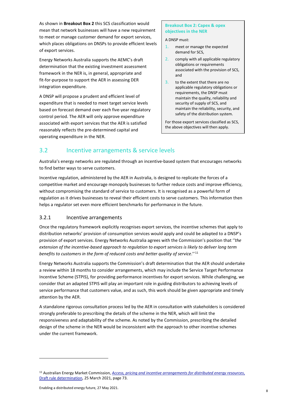As shown in **Breakout Box 2** this SCS classification would mean that network businesses will have a new requirement to meet or manage customer demand for export services, which places obligations on DNSPs to provide efficient levels of export services.

Energy Networks Australia supports the AEMC's draft determination that the existing investment assessment framework in the NER is, in general, appropriate and fit-for-purpose to support the AER in assessing DER integration expenditure.

A DNSP will propose a prudent and efficient level of expenditure that is needed to meet target service levels based on forecast demand over each five-year regulatory control period. The AER will only approve expenditure associated with export services that the AER is satisfied reasonably reflects the pre-determined capital and operating expenditure in the NER.

#### **Breakout Box 2: Capex & opex objectives in the NER**

A DNSP must:

- 1. meet or manage the expected demand for SCS,
- 2. comply with all applicable regulatory obligations or requirements associated with the provision of SCS, and
- 3. to the extent that there are no applicable regulatory obligations or requirements, the DNSP must maintain the quality, reliability and security of supply of SCS, and maintain the reliability, security, and safety of the distribution system.

For those export services classified as SCS, the above objectives will then apply.

# 3.2 Incentive arrangements & service levels

Australia's energy networks are regulated through an incentive-based system that encourages networks to find better ways to serve customers.

Incentive regulation, administered by the AER in Australia, is designed to replicate the forces of a competitive market and encourage monopoly businesses to further reduce costs and improve efficiency, without compromising the standard of service to customers. It is recognised as a powerful form of regulation as it drives businesses to reveal their efficient costs to serve customers. This information then helps a regulator set even more efficient benchmarks for performance in the future.

#### 3.2.1 Incentive arrangements

Once the regulatory framework explicitly recognises export services, the incentive schemes that apply to distribution networks' provision of consumption services would apply and could be adapted to a DNSP's provision of export services. Energy Networks Australia agrees with the Commission's position that '*'the extension of the incentive-based approach to regulation to export services is likely to deliver long term benefits to customers in the form of reduced costs and better quality of service*.'' [11](#page-7-0)

Energy Networks Australia supports the Commission's draft determination that the AER should undertake a review within 18 months to consider arrangements, which may include the Service Target Performance Incentive Scheme (STPIS), for providing performance incentives for export services. While challenging, we consider that an adapted STPIS will play an important role in guiding distributors to achieving levels of service performance that customers value, and as such, this work should be given appropriate and timely attention by the AER.

A standalone rigorous consultation process led by the AER in consultation with stakeholders is considered strongly preferable to prescribing the details of the scheme in the NER, which will limit the responsiveness and adaptability of the scheme. As noted by the Commission, prescribing the detailed design of the scheme in the NER would be inconsistent with the approach to other incentive schemes under the current framework.

<span id="page-7-0"></span><sup>11</sup> Australian Energy Market Commission, *[Access, pricing and incentive arrangements for distributed energy resources](https://www.aemc.gov.au/sites/default/files/2021-03/Draft%20Determination%20-%20ERC0311%20and%20RRC0039%20-%20Access%20Pricing%20and%20Incentive%20arrangements%20for%20DER.pdf)*, [Draft rule determination,](https://www.aemc.gov.au/sites/default/files/2021-03/Draft%20Determination%20-%20ERC0311%20and%20RRC0039%20-%20Access%20Pricing%20and%20Incentive%20arrangements%20for%20DER.pdf) 25 March 2021, page 73.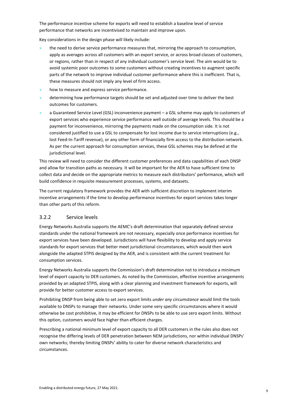The performance incentive scheme for exports will need to establish a baseline level of service performance that networks are incentivised to maintain and improve upon.

Key considerations in the design phase will likely include:

- » the need to derive service performance measures that, mirroring the approach to consumption, apply as averages across all customers with an export service, or across broad classes of customers, or regions, rather than in respect of any individual customer's service level. The aim would be to avoid systemic poor outcomes to some customers without creating incentives to augment specific parts of the network to improve individual customer performance where this is inefficient. That is, these measures should not imply any level of firm access.
- how to measure and express service performance.
- » determining how performance targets should be set and adjusted over time to deliver the best outcomes for customers.
- » a Guaranteed Service Level (GSL) inconvenience payment a GSL scheme may apply to customers of export services who experience service performance well outside of average levels. This should be a payment for inconvenience, mirroring the payments made on the consumption side. It is not considered justified to use a GSL to compensate for lost income due to service interruptions (e.g., lost Feed-In-Tariff revenue), or any other form of financially firm access to the distribution network. As per the current approach for consumption services, these GSL schemes may be defined at the jurisdictional level.

This review will need to consider the different customer preferences and data capabilities of each DNSP and allow for transition paths as necessary. It will be important for the AER to have sufficient time to collect data and decide on the appropriate metrics to measure each distributors' performance, which will build confidence in requisite measurement processes, systems, and datasets.

The current regulatory framework provides the AER with sufficient discretion to implement interim incentive arrangements if the time to develop performance incentives for export services takes longer than other parts of this reform.

#### 3.2.2 Service levels

Energy Networks Australia supports the AEMC's draft determination that separately defined service standards under the national framework are not necessary, especially once performance incentives for export services have been developed. Jurisdictions will have flexibility to develop and apply service standards for export services that better meet jurisdictional circumstances, which would then work alongside the adapted STPIS designed by the AER, and is consistent with the current treatment for consumption services.

Energy Networks Australia supports the Commission's draft determination not to introduce a minimum level of export capacity to DER customers. As noted by the Commission, effective incentive arrangements provided by an adapted STPIS, along with a clear planning and investment framework for exports, will provide for better customer access to export services.

Prohibiting DNSP from being able to set zero export limits *under any circumstance* would limit the tools available to DNSPs to manage their networks. Under some very specific circumstances where it would otherwise be cost prohibitive, it may be efficient for DNSPs to be able to use zero export limits. Without this option, customers would face higher than efficient charges.

Prescribing a national minimum level of export capacity to all DER customers in the rules also does not recognise the differing levels of DER penetration between NEM jurisdictions, nor within individual DNSPs' own networks; thereby limiting DNSPs' ability to cater for diverse network characteristics and circumstances.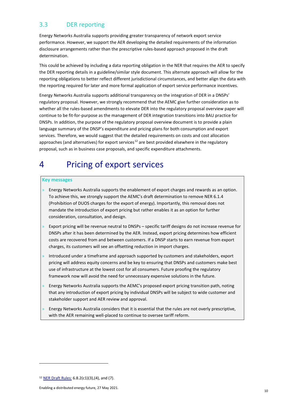### 3.3 DER reporting

Energy Networks Australia supports providing greater transparency of network export service performance. However, we support the AER developing the detailed requirements of the information disclosure arrangements rather than the prescriptive rules-based approach proposed in the draft determination.

This could be achieved by including a data reporting obligation in the NER that requires the AER to specify the DER reporting details in a guideline/similar style document. This alternate approach will allow for the reporting obligations to better reflect different jurisdictional circumstances, and better align the data with the reporting required for later and more formal application of export service performance incentives.

Energy Networks Australia supports additional transparency on the integration of DER in a DNSPs' regulatory proposal. However, we strongly recommend that the AEMC give further consideration as to whether all the rules-based amendments to elevate DER into the regulatory proposal overview paper will continue to be fit-for-purpose as the management of DER integration transitions into BAU practice for DNSPs. In addition, the purpose of the regulatory proposal overview document is to provide a plain language summary of the DNSP's expenditure and pricing plans for both consumption and export services. Therefore, we would suggest that the detailed requirements on costs and cost allocation approaches (and alternatives) for export services<sup>[12](#page-9-1)</sup> are best provided elsewhere in the regulatory proposal, such as in business case proposals, and specific expenditure attachments.

# <span id="page-9-0"></span>4 Pricing of export services

#### **Key messages**

- $\lambda$  Energy Networks Australia supports the enablement of export charges and rewards as an option. To achieve this, we strongly support the AEMC's draft determination to remove NER 6.1.4 (Prohibition of DUOS charges for the export of energy). Importantly, this removal does not mandate the introduction of export pricing but rather enables it as an option for further consideration, consultation, and design.
- » Export pricing will be revenue neutral to DNSPs specific tariff designs do not increase revenue for DNSPs after it has been determined by the AER. Instead, export pricing determines how efficient costs are recovered from and between customers. If a DNSP starts to earn revenue from export charges, its customers will see an offsetting reduction in import charges.
- » Introduced under a timeframe and approach supported by customers and stakeholders, export pricing will address equity concerns and be key to ensuring that DNSPs and customers make best use of infrastructure at the lowest cost for all consumers. Future proofing the regulatory framework now will avoid the need for unnecessary expensive solutions in the future.
- » Energy Networks Australia supports the AEMC's proposed export pricing transition path, noting that any introduction of export pricing by individual DNSPs will be subject to wide customer and stakeholder support and AER review and approval.
- » Energy Networks Australia considers that it is essential that the rules are not overly prescriptive, with the AER remaining well-placed to continue to oversee tariff reform.

<span id="page-9-1"></span><sup>12</sup> [NER Draft Rules:](https://www.aemc.gov.au/sites/default/files/2021-03/ERC0311%20-%20draft%20-%20draft%20NER%20Changes%20-%20Mark%20up.pdf) 6.8.2(c1)(3),(4), and (7).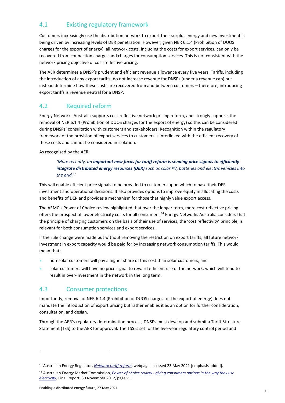# 4.1 Existing regulatory framework

Customers increasingly use the distribution network to export their surplus energy and new investment is being driven by increasing levels of DER penetration. However, given NER 6.1.4 (Prohibition of DUOS charges for the export of energy), all network costs, including the costs for export services, can only be recovered from connection charges and charges for consumption services. This is not consistent with the network pricing objective of cost-reflective pricing.

The AER determines a DNSP's prudent and efficient revenue allowance every five years. Tariffs, including the introduction of any export tariffs, do not increase revenue for DNSPs (under a revenue cap) but instead determine how these costs are recovered from and between customers – therefore, introducing export tariffs is revenue neutral for a DNSP.

# 4.2 Required reform

Energy Networks Australia supports cost-reflective network pricing reform, and strongly supports the removal of NER 6.1.4 (Prohibition of DUOS charges for the export of energy) so this can be considered during DNSPs' consultation with customers and stakeholders. Recognition within the regulatory framework of the provision of export services to customers is interlinked with the efficient recovery of these costs and cannot be considered in isolation.

As recognised by the AER:

#### 'More recently, an *important new focus for tariff reform is sending price signals to efficiently integrate distributed energy resources (DER) such as solar PV, batteries and electric vehicles into the grid.'[13](#page-10-0)*

This will enable efficient price signals to be provided to customers upon which to base their DER investment and operational decisions. It also provides options to improve equity in allocating the costs and benefits of DER and provides a mechanism for those that highly value export access.

The AEMC's Power of Choice review highlighted that over the longer term, more cost reflective pricing offers the prospect of lower electricity costs for all consumers.[14](#page-10-1) Energy Networks Australia considers that the principle of charging customers on the basis of their use of services, the 'cost reflectivity' principle, is relevant for both consumption services and export services.

If the rule change were made but without removing the restriction on export tariffs, all future network investment in export capacity would be paid for by increasing network consumption tariffs. This would mean that:

- » non-solar customers will pay a higher share of this cost than solar customers, and
- » solar customers will have no price signal to reward efficient use of the network, which will tend to result in over-investment in the network in the long term.

# 4.3 Consumer protections

Importantly, removal of NER 6.1.4 (Prohibition of DUOS charges for the export of energy) does not mandate the introduction of export pricing but rather enables it as an option for further consideration, consultation, and design.

Through the AER's regulatory determination process, DNSPs must develop and submit a Tariff Structure Statement (TSS) to the AER for approval. The TSS is set for the five-year regulatory control period and

<span id="page-10-0"></span><sup>13</sup> Australian Energy Regulator, *[Network tariff reform](https://www.aer.gov.au/networks-pipelines/network-tariff-reform)*, webpage accessed 23 May 2021 [emphasis added].

<span id="page-10-1"></span><sup>14</sup> Australian Energy Market Commission, *Power of choice review - [giving consumers options in the way they use](https://www.aemc.gov.au/sites/default/files/content/2b566f4a-3c27-4b9d-9ddb-1652a691d469/Final-report.pdf)  [electricity](https://www.aemc.gov.au/sites/default/files/content/2b566f4a-3c27-4b9d-9ddb-1652a691d469/Final-report.pdf)*, Final Report, 30 November 2012, page viii.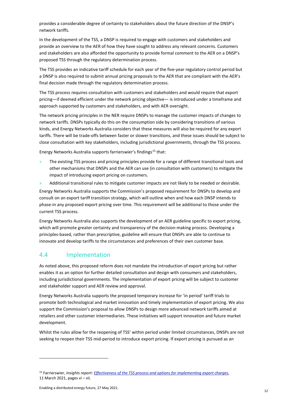provides a considerable degree of certainty to stakeholders about the future direction of the DNSP's network tariffs.

In the development of the TSS, a DNSP is required to engage with customers and stakeholders and provide an overview to the AER of how they have sought to address any relevant concerns. Customers and stakeholders are also afforded the opportunity to provide formal comment to the AER on a DNSP's proposed TSS through the regulatory determination process.

The TSS provides an indicative tariff schedule for each year of the five-year regulatory control period but a DNSP is also required to submit annual pricing proposals to the AER that are compliant with the AER's final decision made through the regulatory determination process.

The TSS process requires consultation with customers and stakeholders and would require that export pricing—if deemed efficient under the network pricing objective— is introduced under a timeframe and approach supported by customers and stakeholders, and with AER oversight.

The network pricing principles in the NER require DNSPs to manage the customer impacts of changes to network tariffs. DNSPs typically do this on the consumption side by considering transitions of various kinds, and Energy Networks Australia considers that these measures will also be required for any export tariffs. There will be trade-offs between faster or slower transitions, and these issues should be subject to close consultation with key stakeholders, including jurisdictional governments, through the TSS process.

Energy Networks Australia supports farrierswier's findings<sup>[15](#page-11-0)</sup> that:

- » The existing TSS process and pricing principles provide for a range of different transitional tools and other mechanisms that DNSPs and the AER can use (in consultation with customers) to mitigate the impact of introducing export pricing on customers.
- » Additional transitional rules to mitigate customer impacts are not likely to be needed or desirable.

Energy Networks Australia supports the Commission's proposed requirement for DNSPs to develop and consult on an export tariff transition strategy, which will outline when and how each DNSP intends to phase-in any proposed export pricing over time. This requirement will be additional to those under the current TSS process.

Energy Networks Australia also supports the development of an AER guideline specific to export pricing, which will promote greater certainty and transparency of the decision-making process. Developing a principles-based, rather than prescriptive, guideline will ensure that DNSPs are able to continue to innovate and develop tariffs to the circumstances and preferences of their own customer base.

### 4.4 Implementation

As noted above, this proposed reform does not mandate the introduction of export pricing but rather enables it as an option for further detailed consultation and design with consumers and stakeholders, including jurisdictional governments. The implementation of export pricing will be subject to customer and stakeholder support and AER review and approval.

Energy Networks Australia supports the proposed temporary increase for 'in period' tariff trials to promote both technological and market innovation and timely implementation of export pricing. We also support the Commission's proposal to allow DNSPs to design more advanced network tariffs aimed at retailers and other customer intermediaries. These initiatives will support innovation and future market development.

Whilst the rules allow for the reopening of TSS' within period under limited circumstances, DNSPs are not seeking to reopen their TSS mid-period to introduce export pricing. If export pricing is pursued as an

<span id="page-11-0"></span><sup>15</sup> Farrierswier, *Insights report[: Effectiveness of the TSS process and options for implementing export charges](https://www.aemc.gov.au/sites/default/files/documents/farrierswier_insights_report.pdf)*, 11 March 2021, pages vi – vii.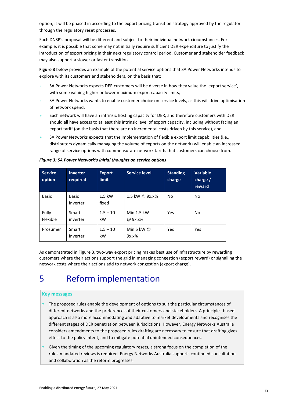option, it will be phased in according to the export pricing transition strategy approved by the regulator through the regulatory reset processes.

Each DNSP's proposal will be different and subject to their individual network circumstances. For example, it is possible that some may not initially require sufficient DER expenditure to justify the introduction of export pricing in their next regulatory control period. Customer and stakeholder feedback may also support a slower or faster transition.

**Figure 3** below provides an example of the potential service options that SA Power Networks intends to explore with its customers and stakeholders, on the basis that:

- » SA Power Networks expects DER customers will be diverse in how they value the 'export service', with some valuing higher or lower maximum export capacity limits,
- SA Power Networks wants to enable customer choice on service levels, as this will drive optimisation of network spend,
- » Each network will have an intrinsic hosting capacity for DER, and therefore customers with DER should all have access to at least this intrinsic level of export capacity, including without facing an export tariff (on the basis that there are no incremental costs driven by this service), and
- » SA Power Networks expects that the implementation of flexible export limit capabilities (i.e., distributors dynamically managing the volume of exports on the network) will enable an increased range of service options with commensurate network tariffs that customers can choose from.

| <b>Service</b><br>option | <b>Inverter</b><br>required | <b>Export</b><br><b>limit</b> | <b>Service level</b>       | <b>Standing</b><br>charge | <b>Variable</b><br>charge $/$<br>reward |
|--------------------------|-----------------------------|-------------------------------|----------------------------|---------------------------|-----------------------------------------|
| <b>Basic</b>             | <b>Basic</b><br>inverter    | $1.5$ kW<br>fixed             | 1.5 kW @ 9x.x%             | No                        | <b>No</b>                               |
| Fully<br>Flexible        | Smart<br>inverter           | $1.5 - 10$<br>kW              | Min 1.5 kW<br>@ 9x.x%      | Yes                       | <b>No</b>                               |
| Prosumer                 | Smart<br>inverter           | $1.5 - 10$<br>kW              | Min 5 kW $\omega$<br>9x.x% | Yes                       | Yes                                     |

*Figure 3: SA Power Network's initial thoughts on service options*

As demonstrated in Figure 3, two-way export pricing makes best use of infrastructure by rewarding customers where their actions support the grid in managing congestion (export reward) or signalling the network costs where their actions add to network congestion (export charge).

# <span id="page-12-0"></span>5 Reform implementation

#### **Key messages**

- $\theta$  The proposed rules enable the development of options to suit the particular circumstances of different networks and the preferences of their customers and stakeholders. A principles-based approach is also more accommodating and adaptive to market developments and recognises the different stages of DER penetration between jurisdictions. However, Energy Networks Australia considers amendments to the proposed rules drafting are necessary to ensure that drafting gives effect to the policy intent, and to mitigate potential unintended consequences.
- » Given the timing of the upcoming regulatory resets, a strong focus on the completion of the rules-mandated reviews is required. Energy Networks Australia supports continued consultation and collaboration as the reform progresses.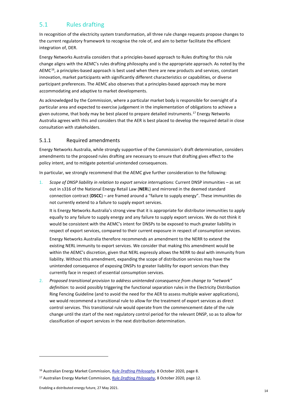### 5.1 Rules drafting

In recognition of the electricity system transformation, all three rule change requests propose changes to the current regulatory framework to recognise the role of, and aim to better facilitate the efficient integration of, DER.

Energy Networks Australia considers that a principles-based approach to Rules drafting for this rule change aligns with the AEMC's rules drafting philosophy and is the appropriate approach. As noted by the AEMC $^{16}$ , a principles-based approach is best used when there are new products and services, constant innovation, market participants with significantly different characteristics or capabilities, or diverse participant preferences. The AEMC also observes that a principles-based approach may be more accommodating and adaptive to market developments.

As acknowledged by the Commission, where a particular market body is responsible for oversight of a particular area and expected to exercise judgement in the implementation of obligations to achieve a given outcome, that body may be best placed to prepare detailed instruments.<sup>[17](#page-13-1)</sup> Energy Networks Australia agrees with this and considers that the AER is best placed to develop the required detail in close consultation with stakeholders.

#### 5.1.1 Required amendments

Energy Networks Australia, while strongly supportive of the Commission's draft determination, considers amendments to the proposed rules drafting are necessary to ensure that drafting gives effect to the policy intent, and to mitigate potential unintended consequences.

In particular, we strongly recommend that the AEMC give further consideration to the following:

1. *Scope of DNSP liability in relation to export service interruptions:* Current DNSP immunities – as set out in s316 of the National Energy Retail Law (**NER**L) and mirrored in the deemed standard connection contract (**DSCC**) – are framed around a "failure to supply energy". These immunities do not currently extend to a failure to supply export services.

It is Energy Networks Australia's strong view that it is appropriate for distributor immunities to apply equally to any failure to supply energy and any failure to supply export services. We do not think it would be consistent with the AEMC's intent for DNSPs to be exposed to much greater liability in respect of export services, compared to their current exposure in respect of consumption services.

Energy Networks Australia therefore recommends an amendment to the NERR to extend the existing NERL immunity to export services. We consider that making this amendment would be within the AEMC's discretion, given that NERL expressly allows the NERR to deal with immunity from liability. Without this amendment, expanding the scope of distribution services may have the unintended consequence of exposing DNSPs to greater liability for export services than they currently face in respect of essential consumption services.

2. *Proposed transitional provision to address unintended consequence from change to "network" definition:* to avoid possibly triggering the functional separation rules in the Electricity Distribution Ring Fencing Guideline (and to avoid the need for the AER to assess multiple waiver applications), we would recommend a transitional rule to allow for the treatment of export services as direct control services. This transitional rule would operate from the commencement date of the rule change until the start of the next regulatory control period for the relevant DNSP, so as to allow for classification of export services in the next distribution determination.

<span id="page-13-0"></span><sup>16</sup> Australian Energy Market Commission, *[Rule Drafting Philosophy](https://www.aemc.gov.au/sites/default/files/2020-11/Rule%20drafting%20philosophy_20201102_0.PDF)*, 8 October 2020, page 8.

<span id="page-13-1"></span><sup>17</sup> Australian Energy Market Commission, *[Rule Drafting Philosophy](https://www.aemc.gov.au/sites/default/files/2020-11/Rule%20drafting%20philosophy_20201102_0.PDF)*, 8 October 2020, page 12.